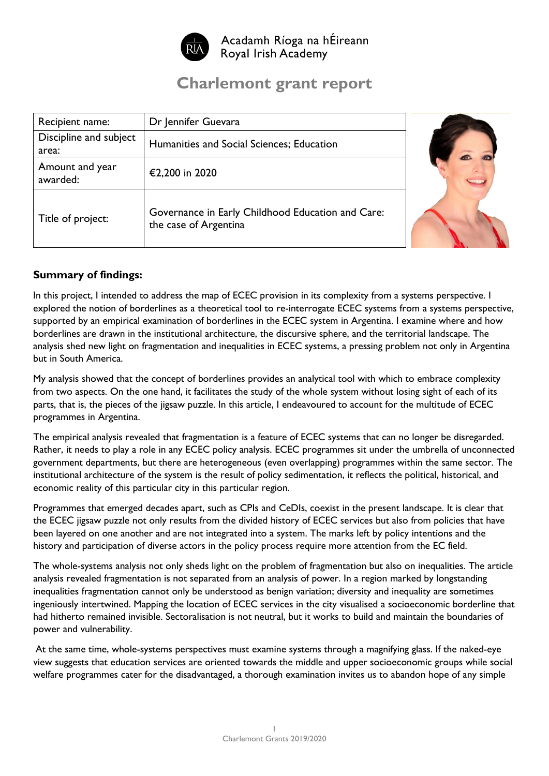

Acadamh Ríoga na hÉireann Royal Irish Academy

# **Charlemont grant report**

| Recipient name:                 | Dr Jennifer Guevara                                                        |  |
|---------------------------------|----------------------------------------------------------------------------|--|
| Discipline and subject<br>area: | Humanities and Social Sciences; Education                                  |  |
| Amount and year<br>awarded:     | €2,200 in 2020                                                             |  |
| Title of project:               | Governance in Early Childhood Education and Care:<br>the case of Argentina |  |

## **Summary of findings:**

In this project, I intended to address the map of ECEC provision in its complexity from a systems perspective. I explored the notion of borderlines as a theoretical tool to re-interrogate ECEC systems from a systems perspective, supported by an empirical examination of borderlines in the ECEC system in Argentina. I examine where and how borderlines are drawn in the institutional architecture, the discursive sphere, and the territorial landscape. The analysis shed new light on fragmentation and inequalities in ECEC systems, a pressing problem not only in Argentina but in South America.

My analysis showed that the concept of borderlines provides an analytical tool with which to embrace complexity from two aspects. On the one hand, it facilitates the study of the whole system without losing sight of each of its parts, that is, the pieces of the jigsaw puzzle. In this article, I endeavoured to account for the multitude of ECEC programmes in Argentina.

The empirical analysis revealed that fragmentation is a feature of ECEC systems that can no longer be disregarded. Rather, it needs to play a role in any ECEC policy analysis. ECEC programmes sit under the umbrella of unconnected government departments, but there are heterogeneous (even overlapping) programmes within the same sector. The institutional architecture of the system is the result of policy sedimentation, it reflects the political, historical, and economic reality of this particular city in this particular region.

Programmes that emerged decades apart, such as CPIs and CeDIs, coexist in the present landscape. It is clear that the ECEC jigsaw puzzle not only results from the divided history of ECEC services but also from policies that have been layered on one another and are not integrated into a system. The marks left by policy intentions and the history and participation of diverse actors in the policy process require more attention from the EC field.

The whole-systems analysis not only sheds light on the problem of fragmentation but also on inequalities. The article analysis revealed fragmentation is not separated from an analysis of power. In a region marked by longstanding inequalities fragmentation cannot only be understood as benign variation; diversity and inequality are sometimes ingeniously intertwined. Mapping the location of ECEC services in the city visualised a socioeconomic borderline that had hitherto remained invisible. Sectoralisation is not neutral, but it works to build and maintain the boundaries of power and vulnerability.

At the same time, whole-systems perspectives must examine systems through a magnifying glass. If the naked-eye view suggests that education services are oriented towards the middle and upper socioeconomic groups while social welfare programmes cater for the disadvantaged, a thorough examination invites us to abandon hope of any simple